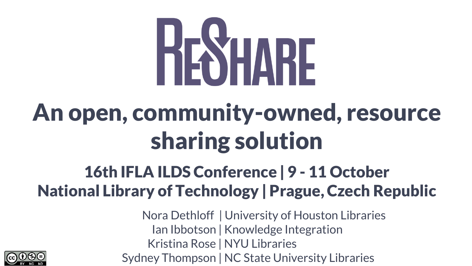## HESHARE

#### **An open, community-owned, resource sharing solution**

#### **16th IFLA ILDS Conference | 9 - 11 October National Library of Technology | Prague, Czech Republic**

Nora Dethloff | University of Houston Libraries Ian Ibbotson | Knowledge Integration Kristina Rose | NYU Libraries Sydney Thompson | NC State University Libraries

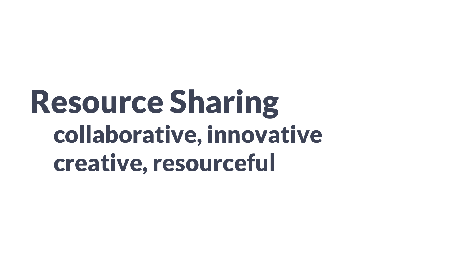## **Resource Sharing collaborative, innovative creative, resourceful**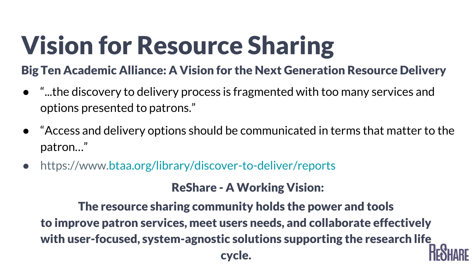## **Vision for Resource Sharing**

#### **Big Ten Academic Alliance: A Vision for the Next Generation Resource Delivery**

- "...the discovery to delivery process is fragmented with too many services and options presented to patrons."
- "Access and delivery options should be communicated in terms that matter to the patron…"
- https://www.[btaa.org/library/discover-to-deliver/reports](http://www.btaa.org/library/discover-to-deliver/reports)

#### **ReShare - A Working Vision:**

**The resource sharing community holds the power and tools to improve patron services, meet users needs, and collaborate effectively with user-focused, system-agnostic solutions supporting the research life cycle.**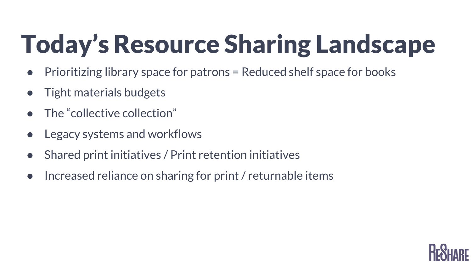## **Today's Resource Sharing Landscape**

- Prioritizing library space for patrons = Reduced shelf space for books
- Tight materials budgets
- The "collective collection"
- Legacy systems and workflows
- Shared print initiatives / Print retention initiatives
- Increased reliance on sharing for print / returnable items

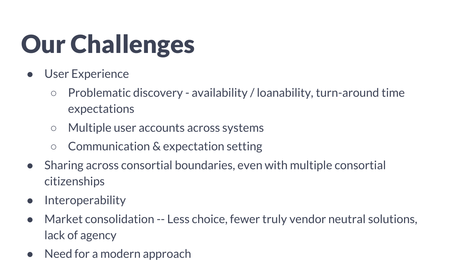## **Our Challenges**

- User Experience
	- Problematic discovery availability / loanability, turn-around time expectations
	- Multiple user accounts across systems
	- Communication & expectation setting
- Sharing across consortial boundaries, even with multiple consortial citizenships
- Interoperability
- Market consolidation -- Less choice, fewer truly vendor neutral solutions, lack of agency
- Need for a modern approach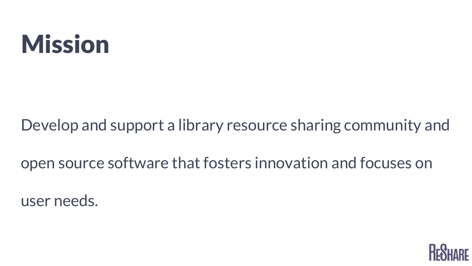#### **Mission**

Develop and support a library resource sharing community and

open source software that fosters innovation and focuses on

user needs.

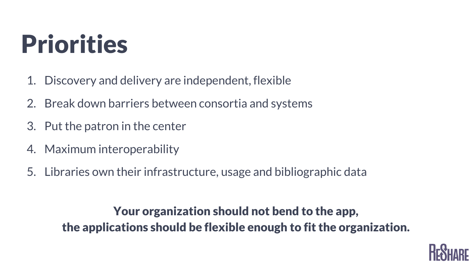#### **Priorities**

- 1. Discovery and delivery are independent, flexible
- 2. Break down barriers between consortia and systems
- 3. Put the patron in the center
- 4. Maximum interoperability
- 5. Libraries own their infrastructure, usage and bibliographic data

#### **Your organization should not bend to the app, the applications should be flexible enough to fit the organization.**

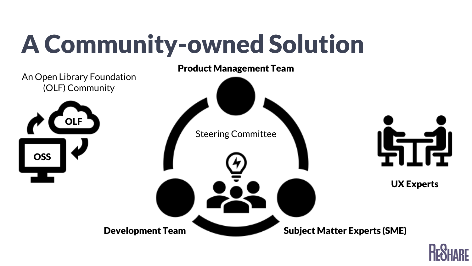## **A Community-owned Solution**



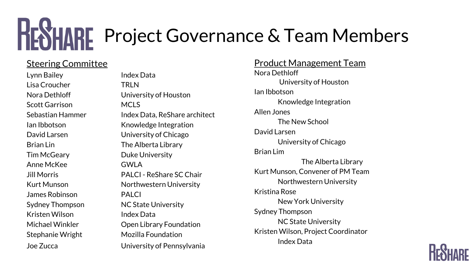## **HEYHARE** Project Governance & Team Members

#### Steering Committee

Lynn Bailey Index Data Lisa Croucher TRLN Scott Garrison MCLS Tim McGeary **Duke University** Anne McKee GWLA James Robinson PALCI Kristen Wilson **Index Data** 

Nora Dethloff University of Houston Sebastian Hammer Index Data, ReShare architect Ian Ibbotson Knowledge Integration David Larsen University of Chicago Brian Lin The Alberta Library Jill Morris PALCI - ReShare SC Chair Kurt Munson Northwestern University Sydney Thompson NC State University Michael Winkler **Open Library Foundation** Stephanie Wright Mozilla Foundation Joe Zucca University of Pennsylvania

Product Management Team Nora Dethloff University of Houston Ian Ibbotson Knowledge Integration Allen Jones The New School David Larsen University of Chicago Brian Lim The Alberta Library Kurt Munson, Convener of PM Team Northwestern University Kristina Rose New York University Sydney Thompson NC State University Kristen Wilson, Project Coordinator Index Data

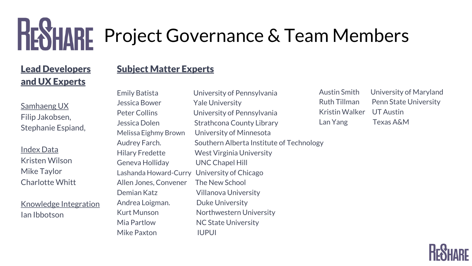## **HEYHARE** Project Governance & Team Members

#### **Lead Developers and UX Experts**

#### **Subject Matter Experts**

Samhaeng UX Filip Jakobsen, Stephanie Espiand,

Index Data Kristen Wilson Mike Taylor Charlotte Whitt

Knowledge Integration Ian Ibbotson

Emily Batista University of Pennsylvania Jessica Bower Yale University Peter Collins University of Pennsylvania Jessica Dolen Strathcona County Library Melissa Eighmy Brown University of Minnesota Audrey Farch. Southern Alberta Institute of Technology Hilary Fredette West Virginia University Geneva Holliday UNC Chapel Hill Lashanda Howard-Curry University of Chicago Allen Jones, Convener The New School Demian Katz Villanova University Andrea Loigman. Duke University Kurt Munson Northwestern University Mia Partlow NC State University Mike Paxton IUPUI

Austin Smith University of Maryland Ruth Tillman Penn State University Kristin Walker UT Austin Lan Yang Texas A&M

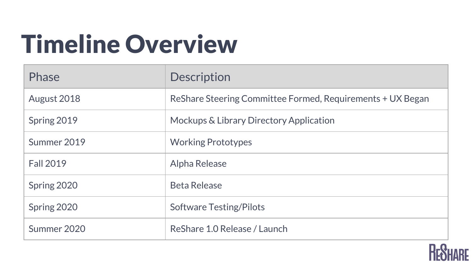## **Timeline Overview**

| <b>Phase</b>     | <b>Description</b>                                         |
|------------------|------------------------------------------------------------|
| August 2018      | ReShare Steering Committee Formed, Requirements + UX Began |
| Spring 2019      | Mockups & Library Directory Application                    |
| Summer 2019      | <b>Working Prototypes</b>                                  |
| <b>Fall 2019</b> | Alpha Release                                              |
| Spring 2020      | <b>Beta Release</b>                                        |
| Spring 2020      | <b>Software Testing/Pilots</b>                             |
| Summer 2020      | ReShare 1.0 Release / Launch                               |

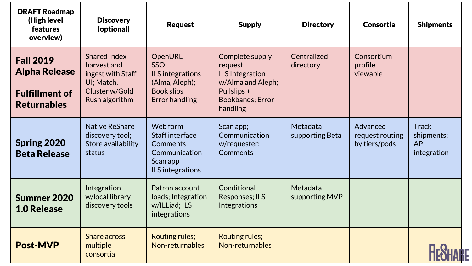| <b>DRAFT Roadmap</b><br>(High level<br><b>features</b><br>overview)                     | <b>Discovery</b><br>(optional)                                                                            | <b>Request</b>                                                                                            | <b>Supply</b>                                                                                                                    | <b>Directory</b>            | Consortia                                    | <b>Shipments</b>                                        |
|-----------------------------------------------------------------------------------------|-----------------------------------------------------------------------------------------------------------|-----------------------------------------------------------------------------------------------------------|----------------------------------------------------------------------------------------------------------------------------------|-----------------------------|----------------------------------------------|---------------------------------------------------------|
| <b>Fall 2019</b><br><b>Alpha Release</b><br><b>Fulfillment of</b><br><b>Returnables</b> | <b>Shared Index</b><br>harvest and<br>ingest with Staff<br>UI; Match,<br>Cluster w/Gold<br>Rush algorithm | OpenURL<br><b>SSO</b><br>ILS integrations<br>(Alma, Aleph);<br><b>Book slips</b><br><b>Error handling</b> | Complete supply<br>request<br><b>ILS</b> Integration<br>w/Alma and Aleph;<br>Pullslips +<br><b>Bookbands</b> ; Error<br>handling | Centralized<br>directory    | Consortium<br>profile<br>viewable            |                                                         |
| <b>Spring 2020</b><br><b>Beta Release</b>                                               | <b>Native ReShare</b><br>discovery tool;<br>Store availability<br>status                                  | Web form<br>Staff interface<br>Comments<br>Communication<br>Scan app<br>ILS integrations                  | Scan app;<br>Communication<br>w/requester;<br>Comments                                                                           | Metadata<br>supporting Beta | Advanced<br>request routing<br>by tiers/pods | <b>Track</b><br>shipments;<br><b>API</b><br>integration |
| Summer 2020<br><b>1.0 Release</b>                                                       | Integration<br>w/local library<br>discovery tools                                                         | Patron account<br>loads; Integration<br>w/ILLiad; ILS<br>integrations                                     | Conditional<br>Responses; ILS<br>Integrations                                                                                    | Metadata<br>supporting MVP  |                                              |                                                         |
| <b>Post-MVP</b>                                                                         | Share across<br>multiple<br>consortia                                                                     | <b>Routing rules;</b><br>Non-returnables                                                                  | Routing rules;<br>Non-returnables                                                                                                |                             |                                              |                                                         |

Ŀ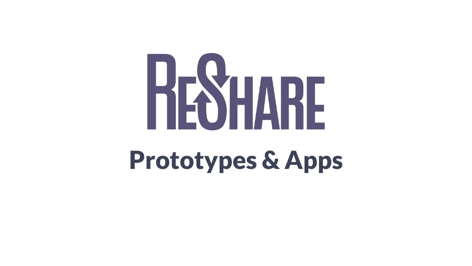# RESHARE

#### **Prototypes & Apps**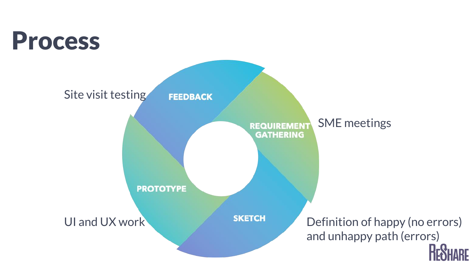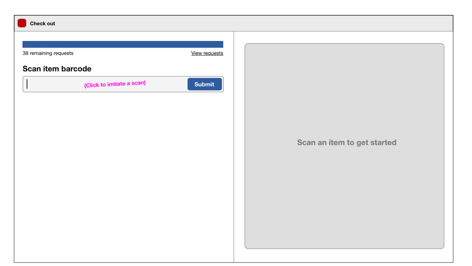| Check out                 |               |                             |
|---------------------------|---------------|-----------------------------|
|                           |               |                             |
| 38 remaining requests     | View requests |                             |
| Scan item barcode         |               |                             |
| (Click to imitate a scan) | Submit        |                             |
|                           |               |                             |
|                           |               |                             |
|                           |               |                             |
|                           |               | Scan an item to get started |
|                           |               |                             |
|                           |               |                             |
|                           |               |                             |
|                           |               |                             |
|                           |               |                             |
|                           |               |                             |
|                           |               |                             |
|                           |               |                             |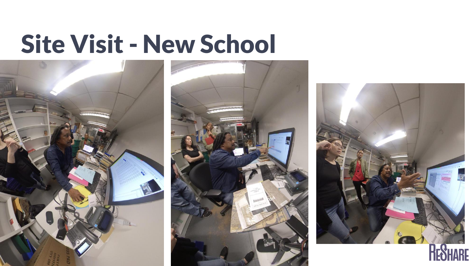#### **Site Visit - New School**





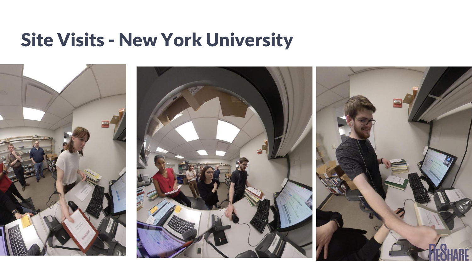#### **Site Visits - New York University**

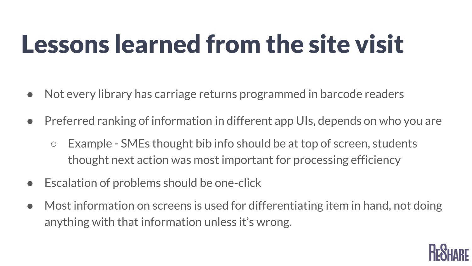## **Lessons learned from the site visit**

- Not every library has carriage returns programmed in barcode readers
- Preferred ranking of information in different app UIs, depends on who you are
	- Example SMEs thought bib info should be at top of screen, students thought next action was most important for processing efficiency
- Escalation of problems should be one-click
- Most information on screens is used for differentiating item in hand, not doing anything with that information unless it's wrong.

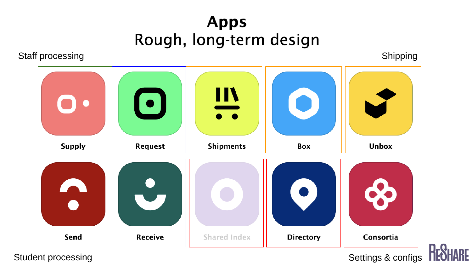## Apps<br>Rough, long-term design

Staff processing

Shipping



Student processing

Settings & configs

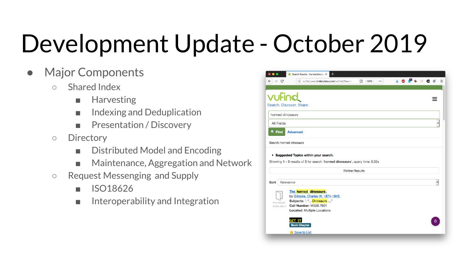## Development Update - October 2019

- **Major Components** 
	- Shared Index
		- Harvesting
		- Indexing and Deduplication
		- Presentation / Discovery
	- Directory
		- Distributed Model and Encoding
		- Maintenance, Aggregation and Network
	- Request Messenging and Supply
		- ISO18626
		- Interoperability and Integration

| G                        | 1 vufind.aws.indexdata.com/vufind/Search<br>$\boxed{=}$ (133%)<br>          |  | 深日图 |
|--------------------------|-----------------------------------------------------------------------------|--|-----|
|                          |                                                                             |  |     |
|                          |                                                                             |  |     |
| vufind                   |                                                                             |  |     |
|                          | Search, Discover, Share,                                                    |  |     |
|                          |                                                                             |  |     |
| horned dinosaurs         |                                                                             |  |     |
| <b>All Fields</b>        |                                                                             |  |     |
| $Q$ , Find               | <b>Advanced</b>                                                             |  |     |
|                          |                                                                             |  |     |
| Search: horned dinosaurs |                                                                             |  |     |
|                          |                                                                             |  |     |
|                          |                                                                             |  |     |
|                          |                                                                             |  |     |
|                          | Suggested Topics within your search.                                        |  |     |
|                          |                                                                             |  |     |
|                          | Showing 1 - 3 results of 3 for search 'horned dinosaurs', query time: 0.02s |  |     |
|                          | <b>Refine Results</b>                                                       |  |     |
|                          |                                                                             |  |     |
| Sort                     | Relevance                                                                   |  |     |
|                          | The horned dinosaurs.                                                       |  |     |
|                          | by Gilmore, Charles W. 1874-1945.                                           |  |     |
| NO IMAGE                 | Subjects: ". " Dinosaurs "                                                  |  |     |
| AVAILABLE                | <b>Call Number: M328.7601</b>                                               |  |     |
|                          | <b>Located: Multiple Locations</b>                                          |  |     |
|                          | GET IT                                                                      |  |     |
|                          | <b>Book Chapter</b>                                                         |  |     |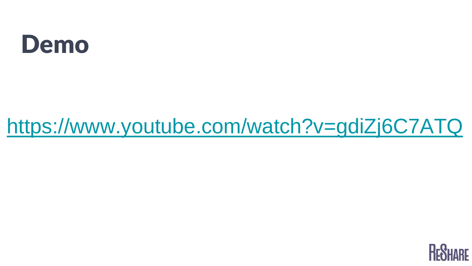#### **Demo**

#### <https://www.youtube.com/watch?v=gdiZj6C7ATQ>

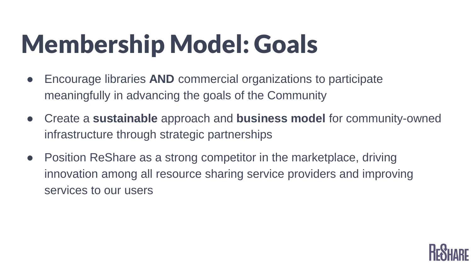## **Membership Model: Goals**

- Encourage libraries **AND** commercial organizations to participate meaningfully in advancing the goals of the Community
- Create a **sustainable** approach and **business model** for community-owned infrastructure through strategic partnerships
- Position ReShare as a strong competitor in the marketplace, driving innovation among all resource sharing service providers and improving services to our users

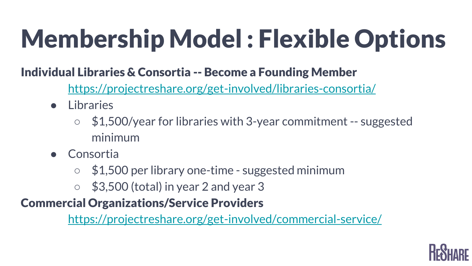## **Membership Model : Flexible Options**

#### **Individual Libraries & Consortia -- Become a Founding Member**

<https://projectreshare.org/get-involved/libraries-consortia/>

- Libraries
	- $\circ$  \$1,500/year for libraries with 3-year commitment -- suggested minimum
- Consortia
	- \$1,500 per library one-time suggested minimum
	- $\circ$  \$3,500 (total) in year 2 and year 3

#### **Commercial Organizations/Service Providers**

<https://projectreshare.org/get-involved/commercial-service/>